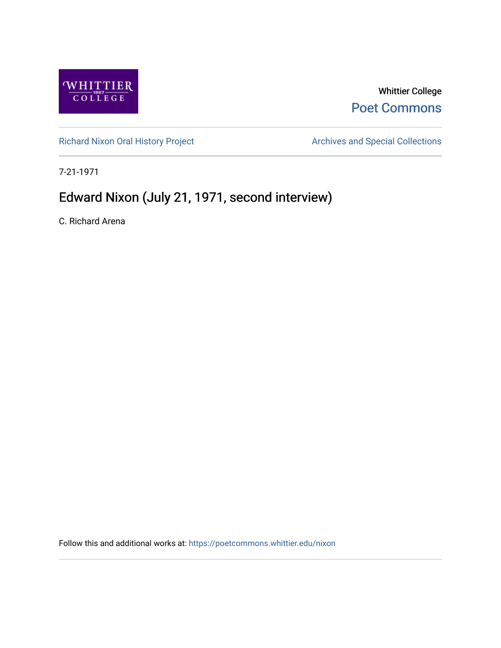

## Whittier College [Poet Commons](https://poetcommons.whittier.edu/)

[Richard Nixon Oral History Project](https://poetcommons.whittier.edu/nixon) **Archives and Special Collections** Archives and Special Collections

7-21-1971

## Edward Nixon (July 21, 1971, second interview)

C. Richard Arena

Follow this and additional works at: [https://poetcommons.whittier.edu/nixon](https://poetcommons.whittier.edu/nixon?utm_source=poetcommons.whittier.edu%2Fnixon%2F22&utm_medium=PDF&utm_campaign=PDFCoverPages)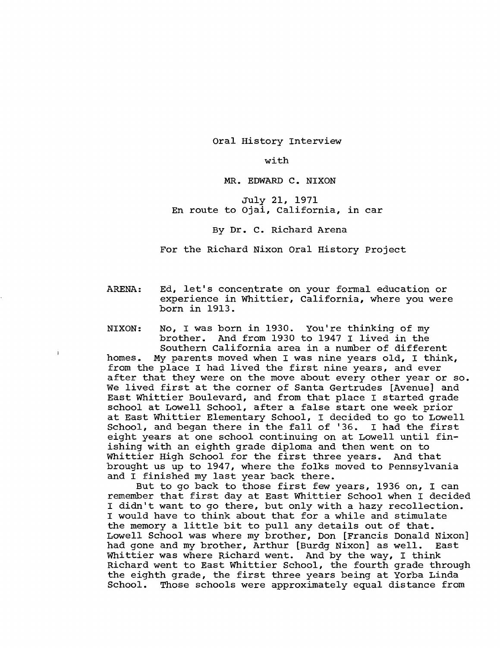Oral History Interview

with

## MR. EDWARD C. NIXON

July 21, 1971 En route to Ojai, California, in car

By Dr. C. Richard Arena

For the Richard Nixon Oral History Project

ARENA: Ed, let's concentrate on your formal education or experience in Whittier, California, where you were born in 1913.

NIXON: No, I was born in 1930. You're thinking of my brother. And from 1930 to 1947 I lived in the Southern California area in a number of different

homes. My parents moved when I was nine years old, I think, from the place I had lived the first nine years, and ever after that they were on the move about every other year or so. We lived first at the corner of Santa Gertrudes [Avenue] and East Whittier Boulevard, and from that place I started grade school at Lowell School, after a false start one week prior at East Whittier Elementary School, I decided to go to Lowell<br>School, and began there in the fall of '36. I had the first School, and began there in the fall of '36. eight years at one school continuing on at Lowell until finishing with an eighth grade diploma and then went on to Whittier High School for the first three years. And that brought us up to 1947, where the folks moved to Pennsylvania and I finished my last year back there.

But to go back to those first few years, 1936 on, I can remember that first day at East Whittier School when I decided I didn't want to go there, but only with a hazy recollection. I would have to think about that for a while and stimulate the memory a little bit to pull any details out of that. Lowell School was where my brother, Don [Francis Donald Nixon]<br>had gone and my brother, Arthur [Burdg Nixon] as well. East had gone and my brother, Arthur [Burdg Nixon] as well. Whittier was where Richard went. And by the way, I think Richard went to East Whittier School, the fourth grade through the eighth grade, the first three years being at Yorba Linda School. Those schools were approximately equal distance from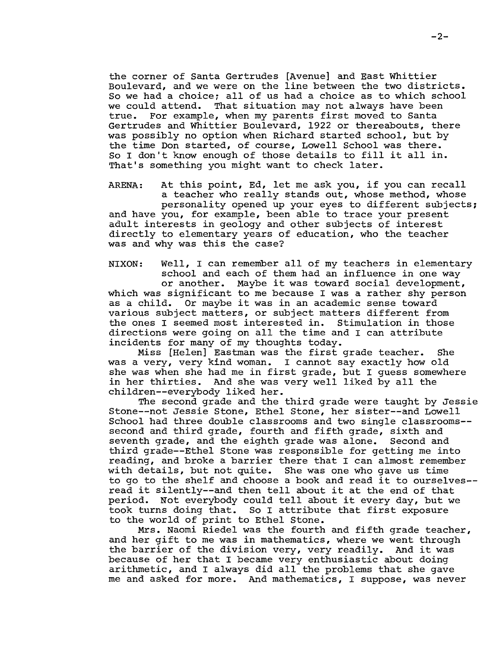the corner of Santa Gertrudes [Avenue] and East Whittier Boulevard, and we were on the line between the two districts. So we had a choice; all of us had a choice as to which school we could attend. That situation may not always have been<br>true. For example, when my parents first moved to Santa For example, when my parents first moved to Santa Gertrudes and Whittier Boulevard, 1922 or thereabouts, there was possibly no option when Richard started school, but by the time Don started, of course, Lowell School was there. So I don't know enough of those details to fill it all in. That's something you might want to check later.

ARENA: At this point, Ed, let me ask you, if you can recall a teacher who really stands out, whose method, whose personality opened up your eyes to different subjects; and have you, for example, been able to trace your present adult interests in geology and other subjects of interest directly to elementary years of education, who the teacher was and why was this the case?

NIXON: Well, I can remember all of my teachers in elementary school and each of them had an influence in one way or another. Maybe it was toward social development, which was significant to me because I was a rather shy person as a child. Or maybe it was in an academic sense toward various subject matters, or subject matters different from<br>the ones I seemed most interested in. Stimulation in those the ones I seemed most interested in. directions were going on all the time and I can attribute incidents for many of my thoughts today.

Miss [Helen] Eastman was the first grade teacher. She was a very, very kind woman. I cannot say exactly how old she was when she had me in first grade, but I guess somewhere in her thirties. And she was very well liked by all the chi1dren--everybody liked her.

The second grade and the third grade were taught by Jessie Stone--not Jessie Stone, Ethel Stone, her sister--and Lowell School had three double classrooms and two single classrooms-second and third grade, fourth and fifth grade, sixth and seventh grade, and the eighth grade was alone. Second and third grade--Ethe1 Stone was responsible for getting me into reading, and broke a barrier there that I can almost remember with details, but not quite. She was one who gave us time to go to the shelf and choose a book and read it to ourselves read it si1ent1y--and then tell about it at the end of that period. Not everybody could tell about it every day, but we took turns doing that. So I attribute that first exposure to the world of print to Ethel Stone.

Mrs. Naomi Riedel was the fourth and fifth grade teacher, and her gift to me was in mathematics, where we went through<br>the barrier of the division very, very readily. And it was the barrier of the division very, very readily. because of her that I became very enthusiastic about doing arithmetic, and I always did all the problems that she gave me and asked for more. And mathematics, I suppose, was never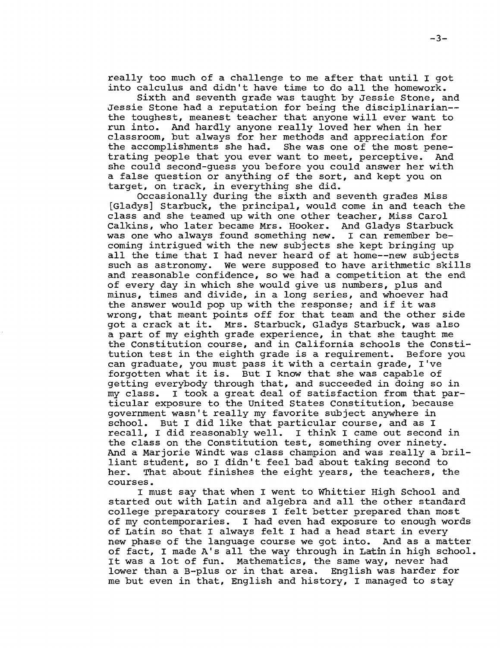really too much of a challenge to me after that until I got into calculus and didn't have time to do all the homework.

Sixth and seventh grade was taught by Jessie Stone, and Jessie Stone had a reputation for being the disciplinarian the toughest, meanest teacher that anyone will ever want to run into. And hardly anyone really loved her when in her classroom, but always for her methods and appreciation for the accomplishments she had. She was one of the most pene-<br>trating people that you ever want to meet, perceptive. And trating people that you ever want to meet, perceptive. she could second-guess you before you could answer her with a false question or anything of the sort, and kept you on target, on track, in everything she did.

Occasionally during the sixth and seventh grades Miss [Gladys] Starbuck, the principal, would come in and teach the class and she teamed up with one other teacher, Miss Carol Calkins, who later became Mrs. Hooker. And Gladys Starbuck<br>was one who always found something new. I can remember bewas one who always found something new. coming intrigued with the new subjects she kept bringing up all the time that I had never heard of at home--new subjects such as astronomy. We were supposed to have arithmetic skills and reasonable confidence, so we had a competition at the end of every day in which she would give us numbers, plus and minus, times and divide, in a long series, and whoever had the answer would pop up with the response; and if it was wrong, that meant points off for that team and the other side got a crack at it. Mrs. Starbuck, Gladys Starbuck, was also a part of my eighth grade experience, in that she taught me the Constitution course, and in California schools the Constitution test in the eighth grade is a requirement. Before you can graduate, you must pass it with a certain grade, I've forgotten what it is. But I know that she was capable of getting everybody through that, and succeeded in doing so in<br>my class. I took a great deal of satisfaction from that par-I took a great deal of satisfaction from that particular exposure to the united States Constitution, because government wasn't really my favorite subject anywhere in school. But I did like that particular course, and as I recall, I did reasonably well. I think I came out second in the class on the Constitution test, something over ninety. And a Marjorie Windt was class champion and was really a brilliant student, so I didn't feel bad about taking second to<br>her. That about finishes the eight years, the teachers, t That about finishes the eight years, the teachers, the courses.

I must say that when I went to Whittier High School and started out with Latin and algebra and all the other standard college preparatory courses I felt better prepared than most of my contemporaries. I had even had exposure to enough words of Latin so that I always felt I had a head start in every new phase of the language course we got into. And as a matter of fact, I made A's all the way through in Latin in high school. It was a lot of fun. Mathematics, the same way, never had lower than a B-plus or in that area. English was harder for me but even in that, English and history, I managed to stay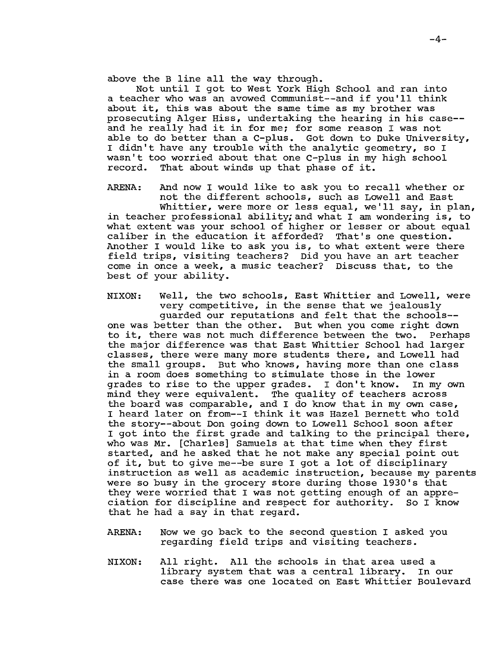above the B line all the way through.

Not until I got to West York High School and ran into a teacher who was an avowed Communist--and if you'll think about it, this was about the same time as my brother was prosecuting Alger Hiss, undertaking the hearing in his case and he really had it in for me; for some reason I was not able to do better than a C-plus. Got down to Duke University, I didn't have any trouble with the analytic geometry, so I wasn't too worried about that one C-plus in my high school record. That about winds up that phase of it. That about winds up that phase of it.

ARENA: And now I would like to ask you to recall whether or not the different schools, such as Lowell and East Whittier, were more or less equal, weill say, in plan, in teacher professional ability; and what I am wondering is, to what extent was your school of higher or lesser or about equal caliber in the education it afforded? That's one question. caliber in the education it afforded?

Another I would like to ask you is, to what extent were there field trips, visiting teachers? Did you have an art teacher come in once a week, a music teacher? Discuss that, to the best of your ability.

NIXON: Well, the two schools, East Whittier and Lowell, were very competitive, in the sense that we jealously guarded our reputations and felt that the schools one was better than the other. But when you come right down to it, there was not much difference between the two. Perhaps the major difference was that East Whittier School had larger classes, there were many more students there, and Lowell had the small groups. But who knows, having more than one class in a room does something to stimulate those in the lower<br>grades to rise to the upper grades. I don't know. In my own grades to rise to the upper grades. I don't know. mind they were equivalent. The quality of teachers across the board was comparable, and I do know that in my own case, I heard later on from--I think it was Hazel Bernett who told the story--about Don going down to Lowell School soon after I got into the first grade and talking to the principal there, who was Mr. [Charles] Samuels at that time when they first started, and he asked that he not make any special point out of it, but to give me--be sure I got a lot of disciplinary instruction as well as academic instruction, because my parents were so busy in the grocery store during those 1930's that they were worried that I was not getting enough of an appreciation for discipline and respect for authority. So I know that he had a say in that regard.

- ARENA: Now we go back to the second question I asked you regarding field trips and visiting teachers.
- NIXON: All right. All the schools in that area used a library system that was a central library. In our case there was one located on East Whittier Boulevard